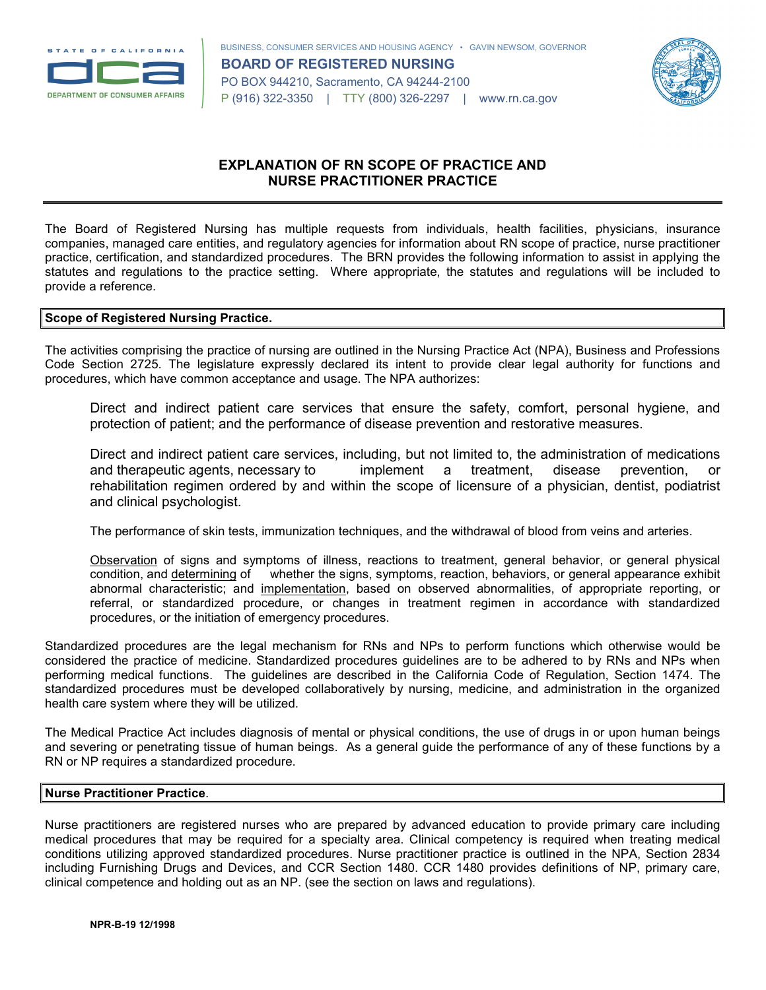



# **EXPLANATION OF RN SCOPE OF PRACTICE AND NURSE PRACTITIONER PRACTICE**

The Board of Registered Nursing has multiple requests from individuals, health facilities, physicians, insurance companies, managed care entities, and regulatory agencies for information about RN scope of practice, nurse practitioner practice, certification, and standardized procedures. The BRN provides the following information to assist in applying the statutes and regulations to the practice setting. Where appropriate, the statutes and regulations will be included to provide a reference.

#### **Scope of Registered Nursing Practice.**

The activities comprising the practice of nursing are outlined in the Nursing Practice Act (NPA), Business and Professions Code Section 2725. The legislature expressly declared its intent to provide clear legal authority for functions and procedures, which have common acceptance and usage. The NPA authorizes:

Direct and indirect patient care services that ensure the safety, comfort, personal hygiene, and protection of patient; and the performance of disease prevention and restorative measures.

Direct and indirect patient care services, including, but not limited to, the administration of medications and therapeutic agents, necessary to implement a treatment, disease prevention, or rehabilitation regimen ordered by and within the scope of licensure of a physician, dentist, podiatrist and clinical psychologist.

The performance of skin tests, immunization techniques, and the withdrawal of blood from veins and arteries.

Observation of signs and symptoms of illness, reactions to treatment, general behavior, or general physical condition, and determining of whether the signs, symptoms, reaction, behaviors, or general appearance exhibit abnormal characteristic; and implementation, based on observed abnormalities, of appropriate reporting, or referral, or standardized procedure, or changes in treatment regimen in accordance with standardized procedures, or the initiation of emergency procedures.

Standardized procedures are the legal mechanism for RNs and NPs to perform functions which otherwise would be considered the practice of medicine. Standardized procedures guidelines are to be adhered to by RNs and NPs when performing medical functions. The guidelines are described in the California Code of Regulation, Section 1474. The standardized procedures must be developed collaboratively by nursing, medicine, and administration in the organized health care system where they will be utilized.

The Medical Practice Act includes diagnosis of mental or physical conditions, the use of drugs in or upon human beings and severing or penetrating tissue of human beings. As a general guide the performance of any of these functions by a RN or NP requires a standardized procedure.

## **Nurse Practitioner Practice**.

Nurse practitioners are registered nurses who are prepared by advanced education to provide primary care including medical procedures that may be required for a specialty area. Clinical competency is required when treating medical conditions utilizing approved standardized procedures. Nurse practitioner practice is outlined in the NPA, Section 2834 including Furnishing Drugs and Devices, and CCR Section 1480. CCR 1480 provides definitions of NP, primary care, clinical competence and holding out as an NP. (see the section on laws and regulations).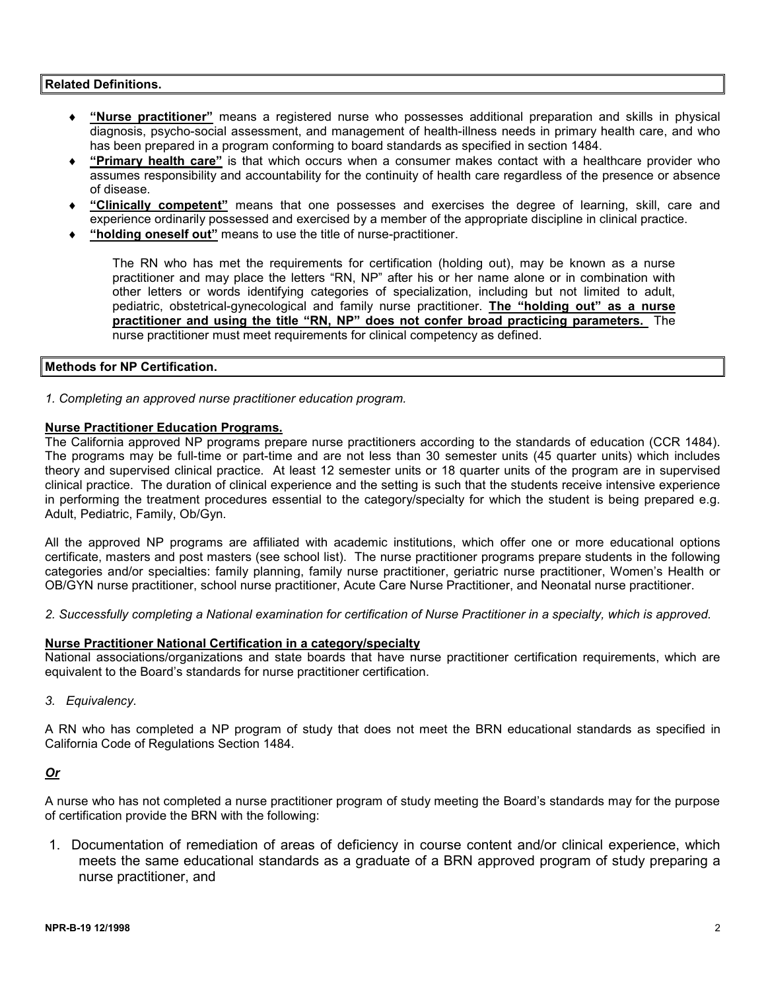## **Related Definitions.**

- ♦ **"Nurse practitioner"** means a registered nurse who possesses additional preparation and skills in physical diagnosis, psycho-social assessment, and management of health-illness needs in primary health care, and who has been prepared in a program conforming to board standards as specified in section 1484.
- ♦ **"Primary health care"** is that which occurs when a consumer makes contact with a healthcare provider who assumes responsibility and accountability for the continuity of health care regardless of the presence or absence of disease.
- "Clinically competent" means that one possesses and exercises the degree of learning, skill, care and experience ordinarily possessed and exercised by a member of the appropriate discipline in clinical practice.
- "holding oneself out" means to use the title of nurse-practitioner.

The RN who has met the requirements for certification (holding out), may be known as a nurse practitioner and may place the letters "RN, NP" after his or her name alone or in combination with other letters or words identifying categories of specialization, including but not limited to adult, pediatric, obstetrical-gynecological and family nurse practitioner. **The "holding out" as a nurse practitioner and using the title "RN, NP" does not confer broad practicing parameters.** The nurse practitioner must meet requirements for clinical competency as defined.

#### **Methods for NP Certification.**

*1. Completing an approved nurse practitioner education program.* 

#### **Nurse Practitioner Education Programs.**

The California approved NP programs prepare nurse practitioners according to the standards of education (CCR 1484). The programs may be full-time or part-time and are not less than 30 semester units (45 quarter units) which includes theory and supervised clinical practice. At least 12 semester units or 18 quarter units of the program are in supervised clinical practice. The duration of clinical experience and the setting is such that the students receive intensive experience in performing the treatment procedures essential to the category/specialty for which the student is being prepared e.g. Adult, Pediatric, Family, Ob/Gyn.

All the approved NP programs are affiliated with academic institutions, which offer one or more educational options certificate, masters and post masters (see school list). The nurse practitioner programs prepare students in the following categories and/or specialties: family planning, family nurse practitioner, geriatric nurse practitioner, Women's Health or OB/GYN nurse practitioner, school nurse practitioner, Acute Care Nurse Practitioner, and Neonatal nurse practitioner.

*2. Successfully completing a National examination for certification of Nurse Practitioner in a specialty, which is approved.* 

#### **Nurse Practitioner National Certification in a category/specialty**

National associations/organizations and state boards that have nurse practitioner certification requirements, which are equivalent to the Board's standards for nurse practitioner certification.

*3. Equivalency.* 

A RN who has completed a NP program of study that does not meet the BRN educational standards as specified in California Code of Regulations Section 1484.

# *Or*

A nurse who has not completed a nurse practitioner program of study meeting the Board's standards may for the purpose of certification provide the BRN with the following:

1. Documentation of remediation of areas of deficiency in course content and/or clinical experience, which meets the same educational standards as a graduate of a BRN approved program of study preparing a nurse practitioner, and